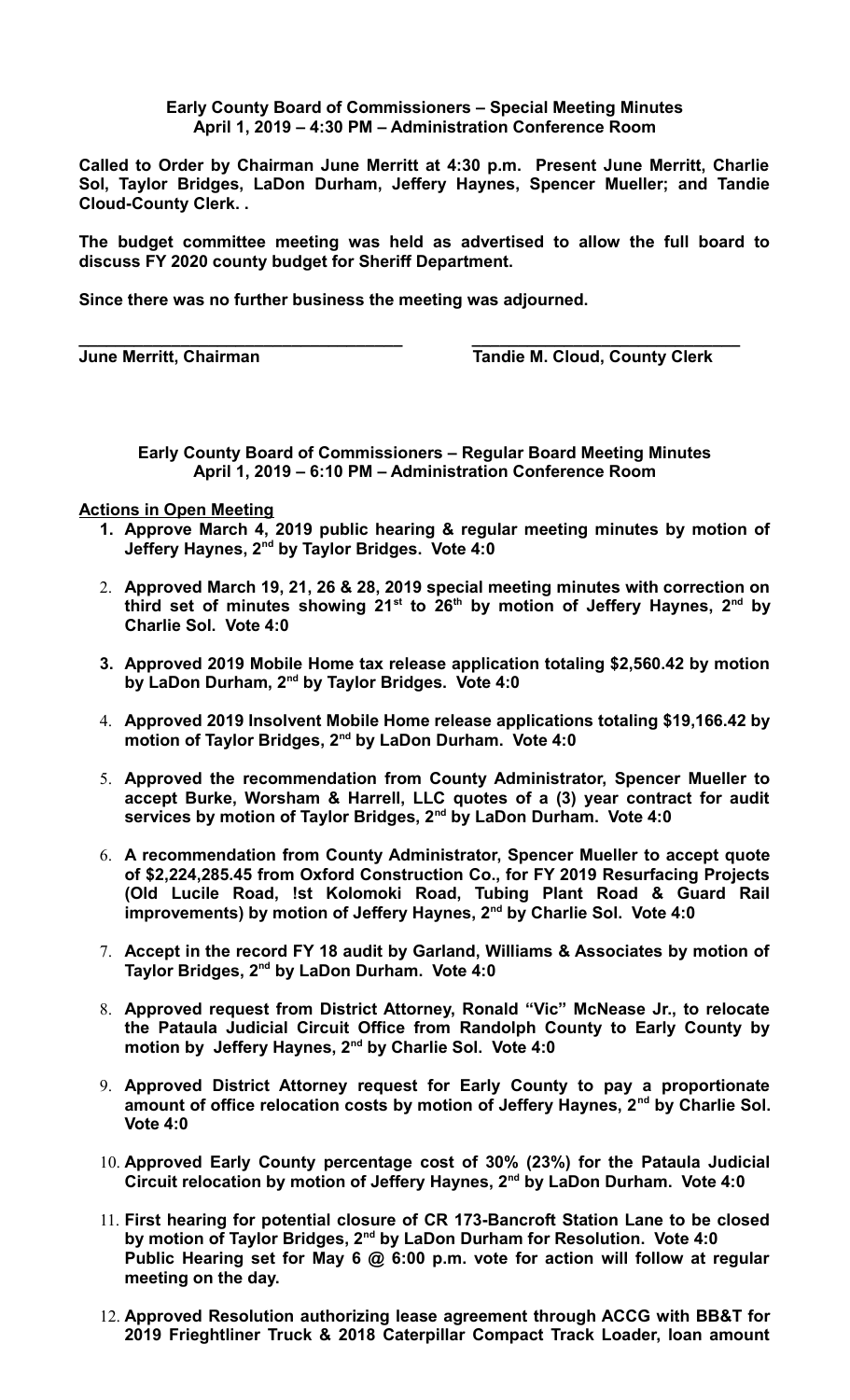## **Early County Board of Commissioners – Special Meeting Minutes April 1, 2019 – 4:30 PM – Administration Conference Room**

**Called to Order by Chairman June Merritt at 4:30 p.m. Present June Merritt, Charlie Sol, Taylor Bridges, LaDon Durham, Jeffery Haynes, Spencer Mueller; and Tandie Cloud-County Clerk. .** 

**The budget committee meeting was held as advertised to allow the full board to discuss FY 2020 county budget for Sheriff Department.**

**Since there was no further business the meeting was adjourned.**

**\_\_\_\_\_\_\_\_\_\_\_\_\_\_\_\_\_\_\_\_\_\_\_\_\_\_\_\_\_\_\_\_\_\_\_ \_\_\_\_\_\_\_\_\_\_\_\_\_\_\_\_\_\_\_\_\_\_\_\_\_\_\_\_\_**

**June Merritt, Chairman Tandie M. Cloud, County Clerk** 

**Early County Board of Commissioners – Regular Board Meeting Minutes April 1, 2019 – 6:10 PM – Administration Conference Room**

**Actions in Open Meeting**

- **1. Approve March 4, 2019 public hearing & regular meeting minutes by motion of Jeffery Haynes, 2nd by Taylor Bridges. Vote 4:0**
- 2. **Approved March 19, 21, 26 & 28, 2019 special meeting minutes with correction on third set of minutes showing 21st to 26th by motion of Jeffery Haynes, 2nd by Charlie Sol. Vote 4:0**
- **3. Approved 2019 Mobile Home tax release application totaling \$2,560.42 by motion by LaDon Durham, 2nd by Taylor Bridges. Vote 4:0**
- 4. **Approved 2019 Insolvent Mobile Home release applications totaling \$19,166.42 by motion of Taylor Bridges, 2nd by LaDon Durham. Vote 4:0**
- 5. **Approved the recommendation from County Administrator, Spencer Mueller to accept Burke, Worsham & Harrell, LLC quotes of a (3) year contract for audit services by motion of Taylor Bridges, 2nd by LaDon Durham. Vote 4:0**
- 6. **A recommendation from County Administrator, Spencer Mueller to accept quote of \$2,224,285.45 from Oxford Construction Co., for FY 2019 Resurfacing Projects (Old Lucile Road, !st Kolomoki Road, Tubing Plant Road & Guard Rail improvements) by motion of Jeffery Haynes, 2nd by Charlie Sol. Vote 4:0**
- 7. **Accept in the record FY 18 audit by Garland, Williams & Associates by motion of Taylor Bridges, 2nd by LaDon Durham. Vote 4:0**
- 8. **Approved request from District Attorney, Ronald "Vic" McNease Jr., to relocate the Pataula Judicial Circuit Office from Randolph County to Early County by motion by Jeffery Haynes, 2nd by Charlie Sol. Vote 4:0**
- 9. **Approved District Attorney request for Early County to pay a proportionate amount of office relocation costs by motion of Jeffery Haynes, 2nd by Charlie Sol. Vote 4:0**
- 10. **Approved Early County percentage cost of 30% (23%) for the Pataula Judicial Circuit relocation by motion of Jeffery Haynes, 2nd by LaDon Durham. Vote 4:0**
- 11. **First hearing for potential closure of CR 173-Bancroft Station Lane to be closed by motion of Taylor Bridges, 2nd by LaDon Durham for Resolution. Vote 4:0 Public Hearing set for May 6 @ 6:00 p.m. vote for action will follow at regular meeting on the day.**
- 12. **Approved Resolution authorizing lease agreement through ACCG with BB&T for 2019 Frieghtliner Truck & 2018 Caterpillar Compact Track Loader, loan amount**